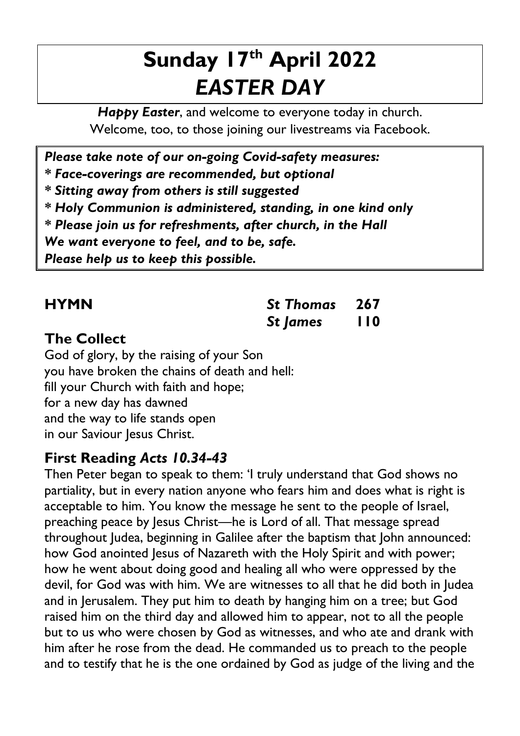# **Sunday 17 th April 2022** *EASTER DAY*

*Happy Easter*, and welcome to everyone today in church. Welcome, too, to those joining our livestreams via Facebook.

*Please take note of our on-going Covid-safety measures: \* Face-coverings are recommended, but optional \* Sitting away from others is still suggested \* Holy Communion is administered, standing, in one kind only \* Please join us for refreshments, after church, in the Hall We want everyone to feel, and to be, safe. Please help us to keep this possible.*

| <b>HYMN</b> | <b>St Thomas</b> 267 |                |
|-------------|----------------------|----------------|
|             | <b>St James</b>      | $\blacksquare$ |

### **The Collect**

God of glory, by the raising of your Son you have broken the chains of death and hell: fill your Church with faith and hope; for a new day has dawned and the way to life stands open in our Saviour Jesus Christ.

### **First Reading** *Acts 10.34-43*

Then Peter began to speak to them: 'I truly understand that God shows no partiality, but in every nation anyone who fears him and does what is right is acceptable to him. You know the message he sent to the people of Israel, preaching peace by Jesus Christ—he is Lord of all. That message spread throughout Judea, beginning in Galilee after the baptism that John announced: how God anointed Jesus of Nazareth with the Holy Spirit and with power; how he went about doing good and healing all who were oppressed by the devil, for God was with him. We are witnesses to all that he did both in Judea and in Jerusalem. They put him to death by hanging him on a tree; but God raised him on the third day and allowed him to appear, not to all the people but to us who were chosen by God as witnesses, and who ate and drank with him after he rose from the dead. He commanded us to preach to the people and to testify that he is the one ordained by God as judge of the living and the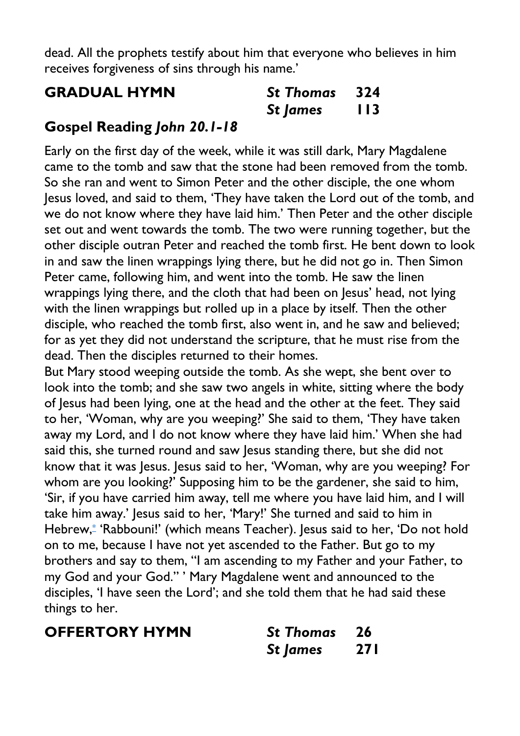dead. All the prophets testify about him that everyone who believes in him receives forgiveness of sins through his name.'

### **GRADUAL HYMN** *St Thomas* **324**

*St James* **113**

# **Gospel Reading** *John 20.1-18*

Early on the first day of the week, while it was still dark, Mary Magdalene came to the tomb and saw that the stone had been removed from the tomb. So she ran and went to Simon Peter and the other disciple, the one whom Jesus loved, and said to them, 'They have taken the Lord out of the tomb, and we do not know where they have laid him.' Then Peter and the other disciple set out and went towards the tomb. The two were running together, but the other disciple outran Peter and reached the tomb first. He bent down to look in and saw the linen wrappings lying there, but he did not go in. Then Simon Peter came, following him, and went into the tomb. He saw the linen wrappings lying there, and the cloth that had been on Jesus' head, not lying with the linen wrappings but rolled up in a place by itself. Then the other disciple, who reached the tomb first, also went in, and he saw and believed; for as yet they did not understand the scripture, that he must rise from the dead. Then the disciples returned to their homes.

But Mary stood weeping outside the tomb. As she wept, she bent over to look into the tomb; and she saw two angels in white, sitting where the body of Jesus had been lying, one at the head and the other at the feet. They said to her, 'Woman, why are you weeping?' She said to them, 'They have taken away my Lord, and I do not know where they have laid him.' When she had said this, she turned round and saw Jesus standing there, but she did not know that it was Jesus. Jesus said to her, 'Woman, why are you weeping? For whom are you looking?' Supposing him to be the gardener, she said to him, 'Sir, if you have carried him away, tell me where you have laid him, and I will take him away.' Jesus said to her, 'Mary!' She turned and said to him in Hebre[w,](javascript:void(0);)\* 'Rabbouni!' (which means Teacher). Jesus said to her, 'Do not hold on to me, because I have not yet ascended to the Father. But go to my brothers and say to them, "I am ascending to my Father and your Father, to my God and your God." ' Mary Magdalene went and announced to the disciples, 'I have seen the Lord'; and she told them that he had said these things to her.

| <b>OFFERTORY HYMN</b> | <b>St Thomas</b> | - 26 |
|-----------------------|------------------|------|
|                       |                  |      |

| <b>St Thomas</b> | 26   |
|------------------|------|
| <b>St James</b>  | 27 I |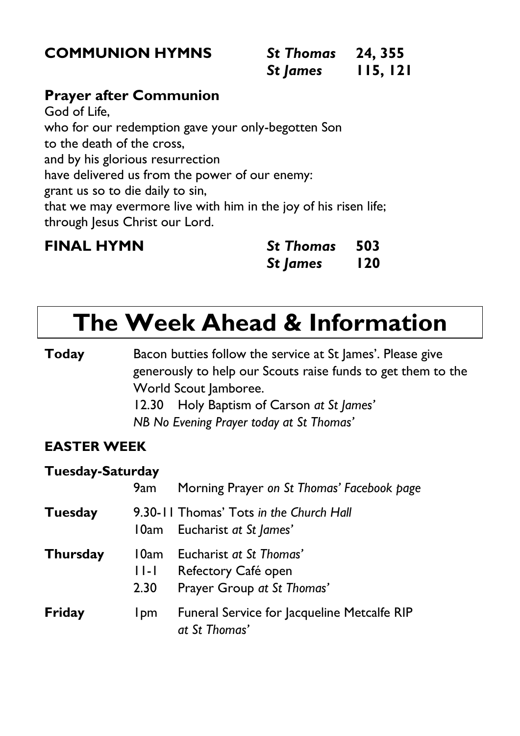### **COMMUNION HYMNS** *St Thomas* **24, 355**

| <b>St Thomas</b> | 24, 355  |
|------------------|----------|
| <b>St James</b>  | 115, 121 |

### **Prayer after Communion**

God of Life, who for our redemption gave your only-begotten Son to the death of the cross, and by his glorious resurrection have delivered us from the power of our enemy: grant us so to die daily to sin, that we may evermore live with him in the joy of his risen life; through Jesus Christ our Lord.

### **FINAL HYMN**

| <b>St Thomas</b> | 503        |
|------------------|------------|
| <b>St James</b>  | <b>120</b> |

# **The Week Ahead & Information**

**Today** Bacon butties follow the service at St James'. Please give generously to help our Scouts raise funds to get them to the World Scout Jamboree. 12.30 Holy Baptism of Carson *at St James'*

*NB No Evening Prayer today at St Thomas'*

#### **EASTER WEEK**

| Tuesday-Saturday |                           |                                                                              |
|------------------|---------------------------|------------------------------------------------------------------------------|
|                  | 9am                       | Morning Prayer on St Thomas' Facebook page                                   |
| Tuesday          |                           | 9.30-11 Thomas' Tots in the Church Hall<br>10am Eucharist at St James'       |
| Thursday         | 10am<br>$ 1 - 1 $<br>2.30 | Eucharist at St Thomas'<br>Refectory Café open<br>Prayer Group at St Thomas' |
| Friday           | I <sub>D</sub> m          | Funeral Service for Jacqueline Metcalfe RIP<br>at St Thomas'                 |